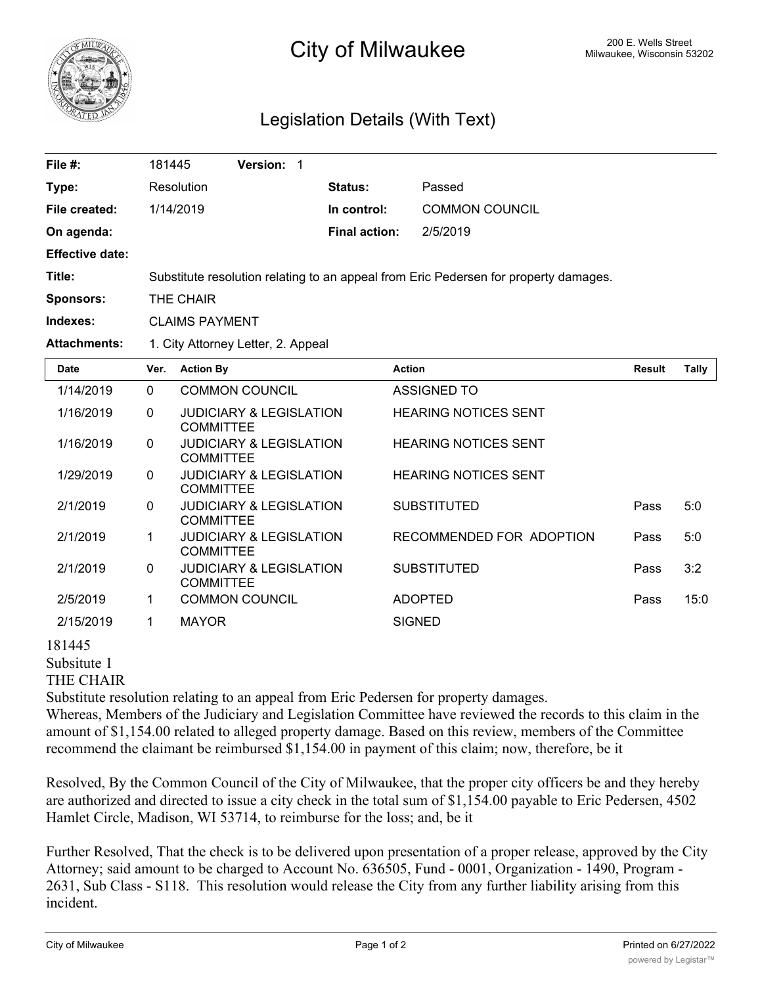

## 200 E. Wells Street 200 E. Wells Street 200 E. Wells Street 200 E. Wells Street

## Legislation Details (With Text)

| File #:                | 181445                                                                               | <b>Version: 1</b> |                |                       |  |  |
|------------------------|--------------------------------------------------------------------------------------|-------------------|----------------|-----------------------|--|--|
| Type:                  | Resolution                                                                           |                   | <b>Status:</b> | Passed                |  |  |
| File created:          | 1/14/2019                                                                            |                   | In control:    | <b>COMMON COUNCIL</b> |  |  |
| On agenda:             |                                                                                      |                   | Final action:  | 2/5/2019              |  |  |
| <b>Effective date:</b> |                                                                                      |                   |                |                       |  |  |
| Title:                 | Substitute resolution relating to an appeal from Eric Pedersen for property damages. |                   |                |                       |  |  |
| <b>Sponsors:</b>       | THE CHAIR                                                                            |                   |                |                       |  |  |
| Indexes:               | <b>CLAIMS PAYMENT</b>                                                                |                   |                |                       |  |  |
| <b>Attachments:</b>    | 1. City Attorney Letter, 2. Appeal                                                   |                   |                |                       |  |  |

| <b>Date</b> | Ver.     | <b>Action By</b>                                       | <b>Action</b>               | <b>Result</b> | Tally |
|-------------|----------|--------------------------------------------------------|-----------------------------|---------------|-------|
| 1/14/2019   | $\Omega$ | <b>COMMON COUNCIL</b>                                  | ASSIGNED TO                 |               |       |
| 1/16/2019   | $\Omega$ | <b>JUDICIARY &amp; LEGISLATION</b><br><b>COMMITTEE</b> | <b>HEARING NOTICES SENT</b> |               |       |
| 1/16/2019   | $\Omega$ | <b>JUDICIARY &amp; LEGISLATION</b><br><b>COMMITTEE</b> | <b>HEARING NOTICES SENT</b> |               |       |
| 1/29/2019   | $\Omega$ | <b>JUDICIARY &amp; LEGISLATION</b><br><b>COMMITTEE</b> | <b>HEARING NOTICES SENT</b> |               |       |
| 2/1/2019    | $\Omega$ | <b>JUDICIARY &amp; LEGISLATION</b><br><b>COMMITTEE</b> | <b>SUBSTITUTED</b>          | Pass          | 5:0   |
| 2/1/2019    | 1.       | <b>JUDICIARY &amp; LEGISLATION</b><br><b>COMMITTEE</b> | RECOMMENDED FOR ADOPTION    | Pass          | 5:0   |
| 2/1/2019    | $\Omega$ | <b>JUDICIARY &amp; LEGISLATION</b><br><b>COMMITTEE</b> | <b>SUBSTITUTED</b>          | Pass          | 3:2   |
| 2/5/2019    | 1        | <b>COMMON COUNCIL</b>                                  | <b>ADOPTED</b>              | Pass          | 15:0  |
| 2/15/2019   | 1        | <b>MAYOR</b>                                           | <b>SIGNED</b>               |               |       |
| .           |          |                                                        |                             |               |       |

181445 Subsitute 1

THE CHAIR

Substitute resolution relating to an appeal from Eric Pedersen for property damages.

Whereas, Members of the Judiciary and Legislation Committee have reviewed the records to this claim in the amount of \$1,154.00 related to alleged property damage. Based on this review, members of the Committee recommend the claimant be reimbursed \$1,154.00 in payment of this claim; now, therefore, be it

Resolved, By the Common Council of the City of Milwaukee, that the proper city officers be and they hereby are authorized and directed to issue a city check in the total sum of \$1,154.00 payable to Eric Pedersen, 4502 Hamlet Circle, Madison, WI 53714, to reimburse for the loss; and, be it

Further Resolved, That the check is to be delivered upon presentation of a proper release, approved by the City Attorney; said amount to be charged to Account No. 636505, Fund - 0001, Organization - 1490, Program - 2631, Sub Class - S118. This resolution would release the City from any further liability arising from this incident.